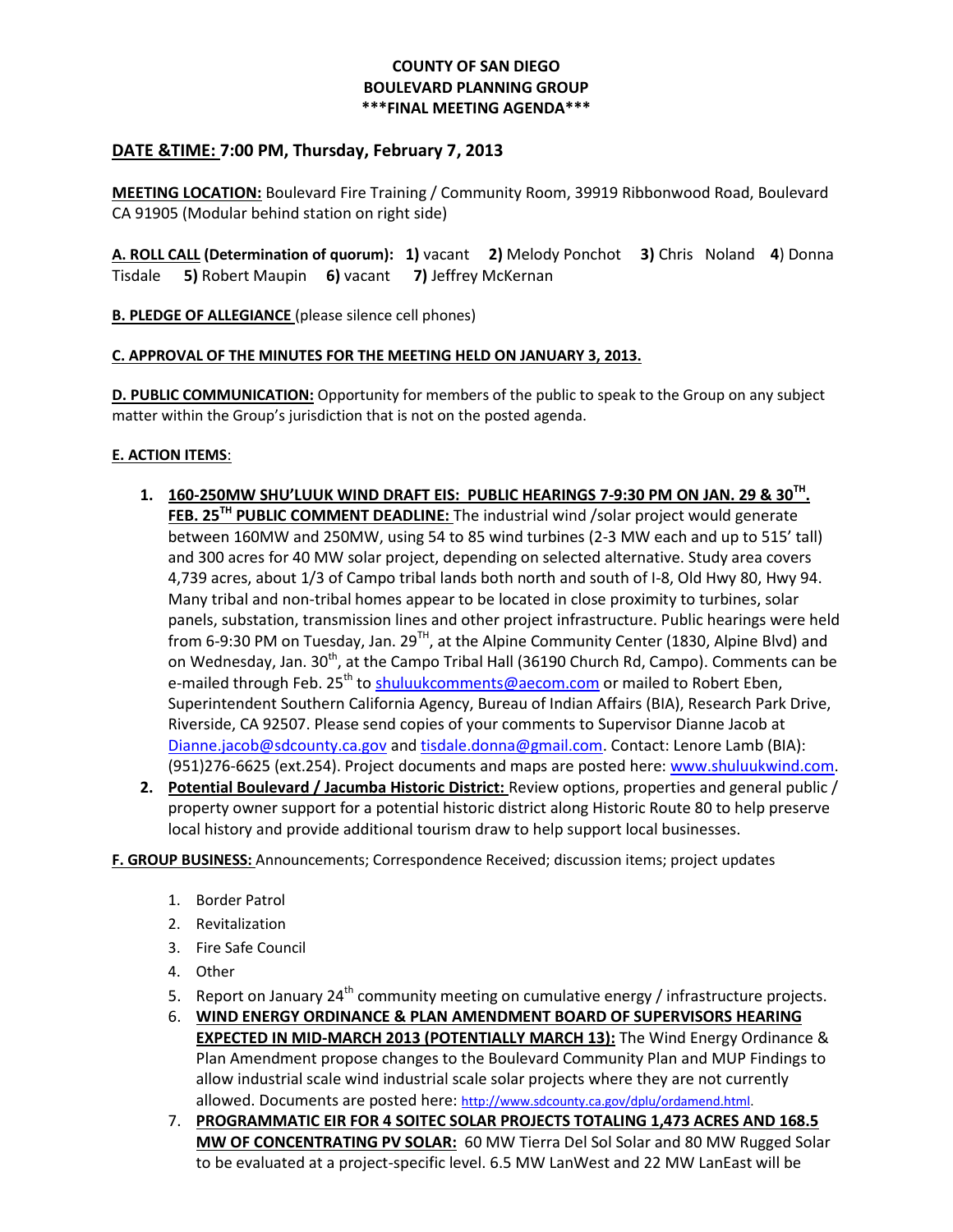# **COUNTY OF SAN DIEGO BOULEVARD PLANNING GROUP \*\*\*FINAL MEETING AGENDA\*\*\***

# **DATE &TIME: 7:00 PM, Thursday, February 7, 2013**

**MEETING LOCATION:** Boulevard Fire Training / Community Room, 39919 Ribbonwood Road, Boulevard CA 91905 (Modular behind station on right side)

**A. ROLL CALL (Determination of quorum): 1)** vacant **2)** Melody Ponchot **3)** Chris Noland **4**) Donna Tisdale **5)** Robert Maupin **6)** vacant **7)** Jeffrey McKernan

**B. PLEDGE OF ALLEGIANCE** (please silence cell phones)

## **C. APPROVAL OF THE MINUTES FOR THE MEETING HELD ON JANUARY 3, 2013.**

**D. PUBLIC COMMUNICATION:** Opportunity for members of the public to speak to the Group on any subject matter within the Group's jurisdiction that is not on the posted agenda.

### **E. ACTION ITEMS**:

- **1. 160-250MW SHU'LUUK WIND DRAFT EIS: PUBLIC HEARINGS 7-9:30 PM ON JAN. 29 & 30TH . FEB. 25TH PUBLIC COMMENT DEADLINE:** The industrial wind /solar project would generate between 160MW and 250MW, using 54 to 85 wind turbines (2-3 MW each and up to 515' tall) and 300 acres for 40 MW solar project, depending on selected alternative. Study area covers 4,739 acres, about 1/3 of Campo tribal lands both north and south of I-8, Old Hwy 80, Hwy 94. Many tribal and non-tribal homes appear to be located in close proximity to turbines, solar panels, substation, transmission lines and other project infrastructure. Public hearings were held from 6-9:30 PM on Tuesday, Jan. 29<sup>TH</sup>, at the Alpine Community Center (1830, Alpine Blvd) and on Wednesday, Jan. 30<sup>th</sup>, at the Campo Tribal Hall (36190 Church Rd, Campo). Comments can be e-mailed through Feb. 25<sup>th</sup> to [shuluukcomments@aecom.com](mailto:shuluukcomments@aecom.com) or mailed to Robert Eben, Superintendent Southern California Agency, Bureau of Indian Affairs (BIA), Research Park Drive, Riverside, CA 92507. Please send copies of your comments to Supervisor Dianne Jacob at [Dianne.jacob@sdcounty.ca.gov](mailto:Dianne.jacob@sdcounty.ca.gov) an[d tisdale.donna@gmail.com.](mailto:tisdale.donna@gmail.com) Contact: Lenore Lamb (BIA): (951)276-6625 (ext.254). Project documents and maps are posted here[: www.shuluukwind.com.](http://www.shuluukwind.com/)
- **2. Potential Boulevard / Jacumba Historic District:** Review options, properties and general public / property owner support for a potential historic district along Historic Route 80 to help preserve local history and provide additional tourism draw to help support local businesses.

#### **F. GROUP BUSINESS:** Announcements; Correspondence Received; discussion items; project updates

- 1. Border Patrol
- 2. Revitalization
- 3. Fire Safe Council
- 4. Other
- 5. Report on January 24<sup>th</sup> community meeting on cumulative energy / infrastructure projects.
- 6. **WIND ENERGY ORDINANCE & PLAN AMENDMENT BOARD OF SUPERVISORS HEARING EXPECTED IN MID-MARCH 2013 (POTENTIALLY MARCH 13):** The Wind Energy Ordinance & Plan Amendment propose changes to the Boulevard Community Plan and MUP Findings to allow industrial scale wind industrial scale solar projects where they are not currently allowed. Documents are posted here: [http://www.sdcounty.ca.gov/dplu/ordamend.html.](http://www.sdcounty.ca.gov/dplu/ordamend.html)
- 7. **PROGRAMMATIC EIR FOR 4 SOITEC SOLAR PROJECTS TOTALING 1,473 ACRES AND 168.5 MW OF CONCENTRATING PV SOLAR:** 60 MW Tierra Del Sol Solar and 80 MW Rugged Solar to be evaluated at a project-specific level. 6.5 MW LanWest and 22 MW LanEast will be